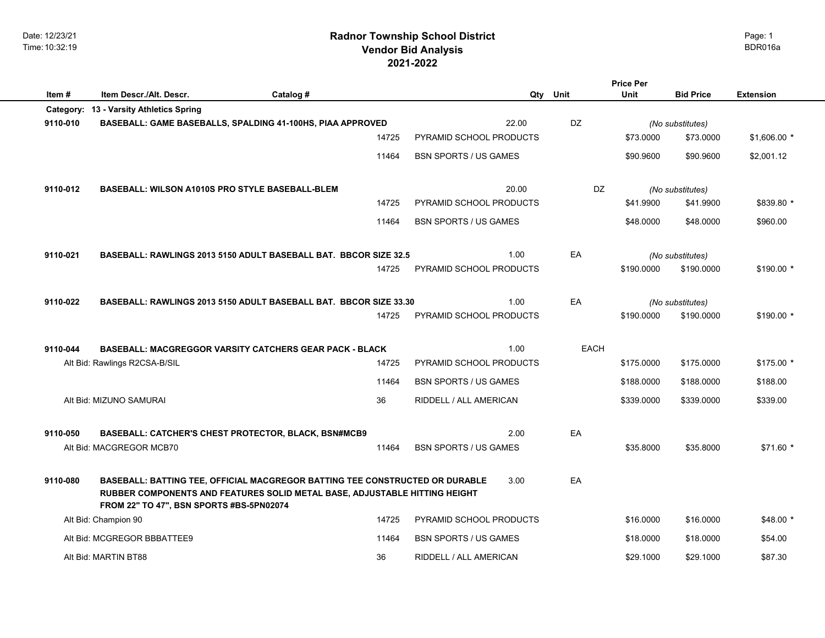Date: 12/23/21 Time: 10:32:19

# **2021-2022 Radnor Township School District Vendor Bid Analysis** BDR016a

|          |                                                                                                                                                                                                        |           |       |                                |             | <b>Price Per</b> |                  |                  |  |
|----------|--------------------------------------------------------------------------------------------------------------------------------------------------------------------------------------------------------|-----------|-------|--------------------------------|-------------|------------------|------------------|------------------|--|
| Item #   | Item Descr./Alt. Descr.                                                                                                                                                                                | Catalog # |       |                                | Qty Unit    | <b>Unit</b>      | <b>Bid Price</b> | <b>Extension</b> |  |
|          | Category: 13 - Varsity Athletics Spring                                                                                                                                                                |           |       |                                |             |                  |                  |                  |  |
| 9110-010 | BASEBALL: GAME BASEBALLS, SPALDING 41-100HS, PIAA APPROVED                                                                                                                                             |           |       | 22.00                          | DZ          |                  | (No substitutes) |                  |  |
|          |                                                                                                                                                                                                        |           | 14725 | PYRAMID SCHOOL PRODUCTS        |             | \$73.0000        | \$73.0000        | $$1,606.00*$     |  |
|          |                                                                                                                                                                                                        |           | 11464 | <b>BSN SPORTS / US GAMES</b>   |             | \$90.9600        | \$90.9600        | \$2,001.12       |  |
| 9110-012 | <b>BASEBALL: WILSON A1010S PRO STYLE BASEBALL-BLEM</b>                                                                                                                                                 |           |       | 20.00                          | DZ          |                  | (No substitutes) |                  |  |
|          |                                                                                                                                                                                                        |           | 14725 | PYRAMID SCHOOL PRODUCTS        |             | \$41.9900        | \$41.9900        | \$839.80 *       |  |
|          |                                                                                                                                                                                                        |           | 11464 | <b>BSN SPORTS / US GAMES</b>   |             | \$48.0000        | \$48.0000        | \$960.00         |  |
| 9110-021 | <b>BASEBALL: RAWLINGS 2013 5150 ADULT BASEBALL BAT. BBCOR SIZE 32.5</b>                                                                                                                                |           |       | 1.00                           | EA          |                  | (No substitutes) |                  |  |
|          |                                                                                                                                                                                                        |           | 14725 | PYRAMID SCHOOL PRODUCTS        |             | \$190.0000       | \$190.0000       | $$190.00*$       |  |
| 9110-022 | BASEBALL: RAWLINGS 2013 5150 ADULT BASEBALL BAT. BBCOR SIZE 33.30                                                                                                                                      |           |       | 1.00                           | EA          |                  | (No substitutes) |                  |  |
|          |                                                                                                                                                                                                        |           | 14725 | PYRAMID SCHOOL PRODUCTS        |             | \$190.0000       | \$190.0000       | $$190.00*$       |  |
| 9110-044 | <b>BASEBALL: MACGREGGOR VARSITY CATCHERS GEAR PACK - BLACK</b>                                                                                                                                         |           |       | 1.00                           | <b>EACH</b> |                  |                  |                  |  |
|          | Alt Bid: Rawlings R2CSA-B/SIL                                                                                                                                                                          |           | 14725 | PYRAMID SCHOOL PRODUCTS        |             | \$175.0000       | \$175.0000       | $$175.00*$       |  |
|          |                                                                                                                                                                                                        |           | 11464 | <b>BSN SPORTS / US GAMES</b>   |             | \$188.0000       | \$188.0000       | \$188.00         |  |
|          | Alt Bid: MIZUNO SAMURAI                                                                                                                                                                                |           | 36    | RIDDELL / ALL AMERICAN         |             | \$339.0000       | \$339.0000       | \$339.00         |  |
| 9110-050 | <b>BASEBALL: CATCHER'S CHEST PROTECTOR, BLACK, BSN#MCB9</b>                                                                                                                                            |           |       | 2.00                           | EA          |                  |                  |                  |  |
|          | Alt Bid: MACGREGOR MCB70                                                                                                                                                                               |           | 11464 | <b>BSN SPORTS / US GAMES</b>   |             | \$35.8000        | \$35.8000        | $$71.60*$        |  |
| 9110-080 | BASEBALL: BATTING TEE, OFFICIAL MACGREGOR BATTING TEE CONSTRUCTED OR DURABLE<br>RUBBER COMPONENTS AND FEATURES SOLID METAL BASE, ADJUSTABLE HITTING HEIGHT<br>FROM 22" TO 47", BSN SPORTS #BS-5PN02074 |           |       | 3.00                           | EA          |                  |                  |                  |  |
|          | Alt Bid: Champion 90                                                                                                                                                                                   |           | 14725 | <b>PYRAMID SCHOOL PRODUCTS</b> |             | \$16.0000        | \$16.0000        | $$48.00*$        |  |
|          | Alt Bid: MCGREGOR BBBATTEE9                                                                                                                                                                            |           | 11464 | <b>BSN SPORTS / US GAMES</b>   |             | \$18.0000        | \$18.0000        | \$54.00          |  |
|          | Alt Bid: MARTIN BT88                                                                                                                                                                                   |           | 36    | RIDDELL / ALL AMERICAN         |             | \$29.1000        | \$29.1000        | \$87.30          |  |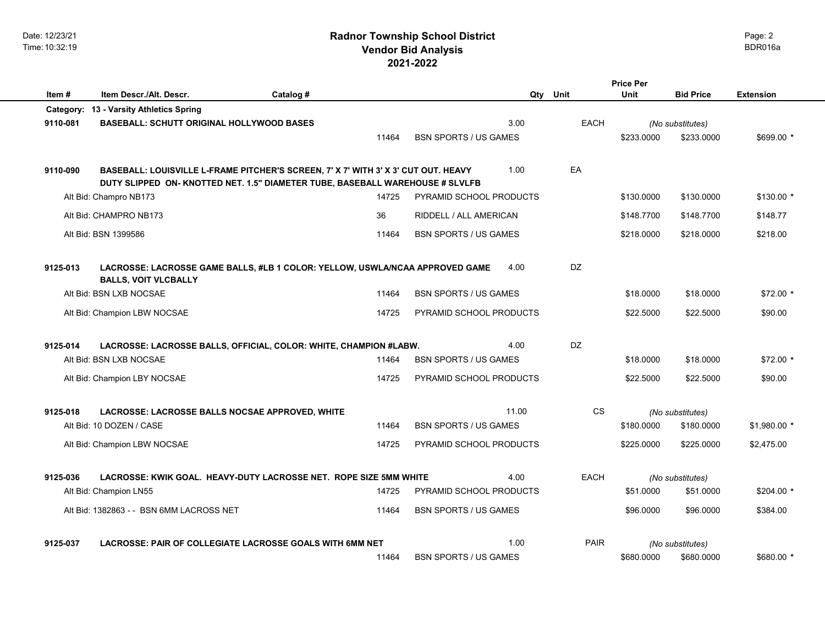Date: 12/23/21 Time: 10:32:19

# **2021-2022 Radnor Township School District Vendor Bid Analysis** BDR016a

|          |                                                                                                                                                                     |           |       |                               |             | <b>Price Per</b> |                  |                  |
|----------|---------------------------------------------------------------------------------------------------------------------------------------------------------------------|-----------|-------|-------------------------------|-------------|------------------|------------------|------------------|
| Item #   | Item Descr./Alt. Descr.                                                                                                                                             | Catalog # |       |                               | Qty<br>Unit | <b>Unit</b>      | <b>Bid Price</b> | <b>Extension</b> |
|          | Category: 13 - Varsity Athletics Spring                                                                                                                             |           |       |                               |             |                  |                  |                  |
| 9110-081 | <b>BASEBALL: SCHUTT ORIGINAL HOLLYWOOD BASES</b>                                                                                                                    |           |       | 3.00                          | <b>EACH</b> |                  | (No substitutes) |                  |
|          |                                                                                                                                                                     |           | 11464 | <b>BSN SPORTS / US GAMES</b>  |             | \$233,0000       | \$233,0000       | \$699.00 *       |
| 9110-090 | BASEBALL: LOUISVILLE L-FRAME PITCHER'S SCREEN, 7' X 7' WITH 3' X 3' CUT OUT. HEAVY<br>DUTY SLIPPED ON- KNOTTED NET. 1.5" DIAMETER TUBE, BASEBALL WAREHOUSE # SLVLFB |           |       | 1.00                          | EA          |                  |                  |                  |
|          | Alt Bid: Champro NB173                                                                                                                                              |           | 14725 | PYRAMID SCHOOL PRODUCTS       |             | \$130.0000       | \$130.0000       | $$130.00*$       |
|          | Alt Bid: CHAMPRO NB173                                                                                                                                              |           | 36    | <b>RIDDELL / ALL AMERICAN</b> |             | \$148,7700       | \$148,7700       | \$148.77         |
|          | Alt Bid: BSN 1399586                                                                                                                                                |           | 11464 | <b>BSN SPORTS / US GAMES</b>  |             | \$218.0000       | \$218.0000       | \$218.00         |
| 9125-013 | LACROSSE: LACROSSE GAME BALLS, #LB 1 COLOR: YELLOW, USWLA/NCAA APPROVED GAME<br><b>BALLS, VOIT VLCBALLY</b>                                                         |           |       | 4.00                          | DZ.         |                  |                  |                  |
|          | Alt Bid: BSN LXB NOCSAE                                                                                                                                             |           | 11464 | <b>BSN SPORTS / US GAMES</b>  |             | \$18,0000        | \$18,0000        | $$72.00*$        |
|          | Alt Bid: Champion LBW NOCSAE                                                                                                                                        |           | 14725 | PYRAMID SCHOOL PRODUCTS       |             | \$22.5000        | \$22.5000        | \$90.00          |
| 9125-014 | LACROSSE: LACROSSE BALLS, OFFICIAL, COLOR: WHITE, CHAMPION #LABW.                                                                                                   |           |       | 4.00                          | <b>DZ</b>   |                  |                  |                  |
|          | Alt Bid: BSN LXB NOCSAE                                                                                                                                             |           | 11464 | <b>BSN SPORTS / US GAMES</b>  |             | \$18,0000        | \$18,0000        | $$72.00*$        |
|          | Alt Bid: Champion LBY NOCSAE                                                                                                                                        |           | 14725 | PYRAMID SCHOOL PRODUCTS       |             | \$22,5000        | \$22.5000        | \$90.00          |
| 9125-018 | LACROSSE: LACROSSE BALLS NOCSAE APPROVED, WHITE                                                                                                                     |           |       | 11.00                         | <b>CS</b>   |                  | (No substitutes) |                  |
|          | Alt Bid: 10 DOZEN / CASE                                                                                                                                            |           | 11464 | <b>BSN SPORTS / US GAMES</b>  |             | \$180,0000       | \$180,0000       | $$1,980.00*$     |
|          | Alt Bid: Champion LBW NOCSAE                                                                                                                                        |           | 14725 | PYRAMID SCHOOL PRODUCTS       |             | \$225.0000       | \$225.0000       | \$2,475.00       |
| 9125-036 | LACROSSE: KWIK GOAL. HEAVY-DUTY LACROSSE NET. ROPE SIZE 5MM WHITE                                                                                                   |           |       | 4.00                          | <b>EACH</b> |                  | (No substitutes) |                  |
|          | Alt Bid: Champion LN55                                                                                                                                              |           | 14725 | PYRAMID SCHOOL PRODUCTS       |             | \$51.0000        | \$51.0000        | $$204.00*$       |
|          | Alt Bid: 1382863 - - BSN 6MM LACROSS NET                                                                                                                            |           | 11464 | <b>BSN SPORTS / US GAMES</b>  |             | \$96,0000        | \$96,0000        | \$384.00         |
| 9125-037 | LACROSSE: PAIR OF COLLEGIATE LACROSSE GOALS WITH 6MM NET                                                                                                            |           |       | 1.00                          | <b>PAIR</b> |                  | (No substitutes) |                  |
|          |                                                                                                                                                                     |           | 11464 | <b>BSN SPORTS / US GAMES</b>  |             | \$680,0000       | \$680,0000       | \$680.00 *       |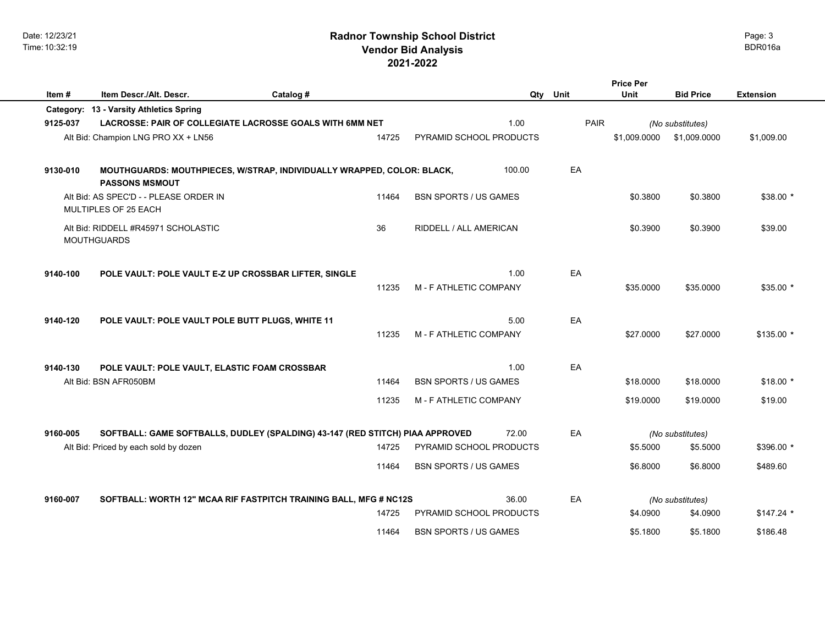|          |                                                                                                                        |           |                |                                                         |        |      | Price Per              |                                          |                        |
|----------|------------------------------------------------------------------------------------------------------------------------|-----------|----------------|---------------------------------------------------------|--------|------|------------------------|------------------------------------------|------------------------|
| Item#    | Item Descr./Alt. Descr.                                                                                                | Catalog # |                |                                                         | Qty    | Unit | Unit                   | <b>Bid Price</b>                         | <b>Extension</b>       |
|          | Category: 13 - Varsity Athletics Spring                                                                                |           |                |                                                         |        |      |                        |                                          |                        |
| 9125-037 | LACROSSE: PAIR OF COLLEGIATE LACROSSE GOALS WITH 6MM NET                                                               |           |                |                                                         | 1.00   | PAIR |                        | (No substitutes)                         |                        |
|          | Alt Bid: Champion LNG PRO XX + LN56                                                                                    |           | 14725          | PYRAMID SCHOOL PRODUCTS                                 |        |      | \$1,009.0000           | \$1,009.0000                             | \$1,009.00             |
| 9130-010 | MOUTHGUARDS: MOUTHPIECES, W/STRAP, INDIVIDUALLY WRAPPED, COLOR: BLACK,<br><b>PASSONS MSMOUT</b>                        |           |                |                                                         | 100.00 | EA   |                        |                                          |                        |
|          | Alt Bid: AS SPEC'D - - PLEASE ORDER IN<br>MULTIPLES OF 25 EACH                                                         |           | 11464          | <b>BSN SPORTS / US GAMES</b>                            |        |      | \$0.3800               | \$0.3800                                 | $$38.00*$              |
|          | Alt Bid: RIDDELL #R45971 SCHOLASTIC<br><b>MOUTHGUARDS</b>                                                              |           | 36             | RIDDELL / ALL AMERICAN                                  |        |      | \$0.3900               | \$0.3900                                 | \$39.00                |
| 9140-100 | POLE VAULT: POLE VAULT E-Z UP CROSSBAR LIFTER, SINGLE                                                                  |           | 11235          | M - F ATHLETIC COMPANY                                  | 1.00   | EA   | \$35,0000              | \$35,0000                                | $$35.00*$              |
| 9140-120 | POLE VAULT: POLE VAULT POLE BUTT PLUGS, WHITE 11                                                                       |           | 11235          | M - F ATHLETIC COMPANY                                  | 5.00   | EA   | \$27.0000              | \$27.0000                                | $$135.00*$             |
| 9140-130 | POLE VAULT: POLE VAULT, ELASTIC FOAM CROSSBAR<br>Alt Bid: BSN AFR050BM                                                 |           | 11464<br>11235 | <b>BSN SPORTS / US GAMES</b><br>M - F ATHLETIC COMPANY  | 1.00   | EA   | \$18.0000<br>\$19.0000 | \$18.0000<br>\$19.0000                   | $$18.00*$<br>\$19.00   |
| 9160-005 | SOFTBALL: GAME SOFTBALLS, DUDLEY (SPALDING) 43-147 (RED STITCH) PIAA APPROVED<br>Alt Bid: Priced by each sold by dozen |           | 14725<br>11464 | PYRAMID SCHOOL PRODUCTS<br><b>BSN SPORTS / US GAMES</b> | 72.00  | EA   | \$5.5000<br>\$6.8000   | (No substitutes)<br>\$5.5000<br>\$6.8000 | \$396.00 *<br>\$489.60 |
| 9160-007 | SOFTBALL: WORTH 12" MCAA RIF FASTPITCH TRAINING BALL, MFG # NC12S                                                      |           |                |                                                         | 36.00  | EA   |                        | (No substitutes)                         |                        |
|          |                                                                                                                        |           | 14725          | PYRAMID SCHOOL PRODUCTS                                 |        |      | \$4.0900               | \$4.0900                                 | $$147.24$ *            |
|          |                                                                                                                        |           | 11464          | <b>BSN SPORTS / US GAMES</b>                            |        |      | \$5.1800               | \$5.1800                                 | \$186.48               |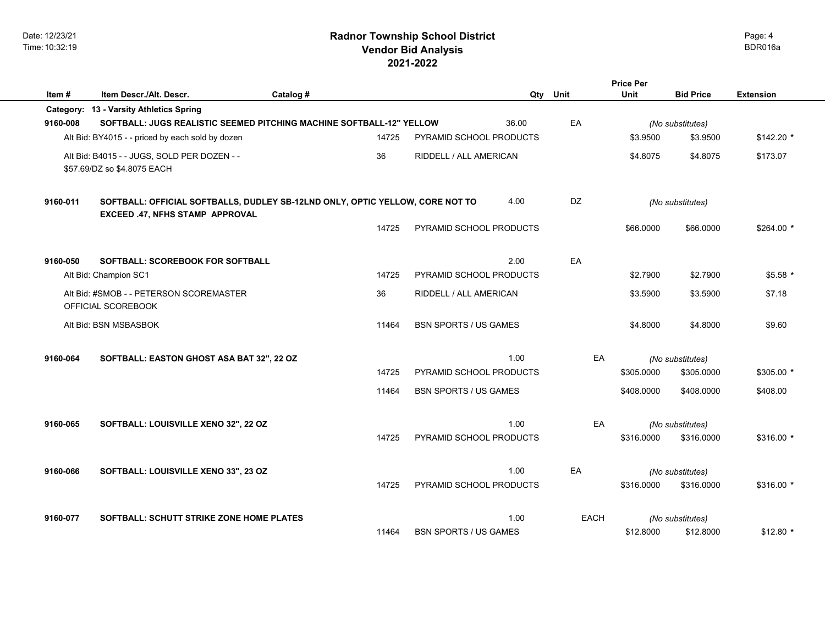|          |                                                                                                                  |           |       |                                |       |             | <b>Price Per</b> |                  |                  |
|----------|------------------------------------------------------------------------------------------------------------------|-----------|-------|--------------------------------|-------|-------------|------------------|------------------|------------------|
| Item#    | Item Descr./Alt. Descr.                                                                                          | Catalog # |       |                                | Qty   | Unit        | Unit             | <b>Bid Price</b> | <b>Extension</b> |
|          | Category: 13 - Varsity Athletics Spring                                                                          |           |       |                                |       |             |                  |                  |                  |
| 9160-008 | SOFTBALL: JUGS REALISTIC SEEMED PITCHING MACHINE SOFTBALL-12" YELLOW                                             |           |       |                                | 36.00 | EA          |                  | (No substitutes) |                  |
|          | Alt Bid: BY4015 - - priced by each sold by dozen                                                                 |           | 14725 | PYRAMID SCHOOL PRODUCTS        |       |             | \$3.9500         | \$3.9500         | $$142.20$ *      |
|          | Alt Bid: B4015 - - JUGS, SOLD PER DOZEN - -<br>\$57.69/DZ so \$4.8075 EACH                                       |           | 36    | RIDDELL / ALL AMERICAN         |       |             | \$4.8075         | \$4.8075         | \$173.07         |
| 9160-011 | SOFTBALL: OFFICIAL SOFTBALLS, DUDLEY SB-12LND ONLY, OPTIC YELLOW, CORE NOT TO<br>EXCEED .47, NFHS STAMP APPROVAL |           |       |                                | 4.00  | DZ          |                  | (No substitutes) |                  |
|          |                                                                                                                  |           | 14725 | PYRAMID SCHOOL PRODUCTS        |       |             | \$66,0000        | \$66,0000        | $$264.00*$       |
| 9160-050 | <b>SOFTBALL: SCOREBOOK FOR SOFTBALL</b>                                                                          |           |       |                                | 2.00  | EA          |                  |                  |                  |
|          | Alt Bid: Champion SC1                                                                                            |           | 14725 | <b>PYRAMID SCHOOL PRODUCTS</b> |       |             | \$2.7900         | \$2.7900         | $$5.58*$         |
|          | Alt Bid: #SMOB - - PETERSON SCOREMASTER<br>OFFICIAL SCOREBOOK                                                    |           | 36    | RIDDELL / ALL AMERICAN         |       |             | \$3.5900         | \$3.5900         | \$7.18           |
|          | Alt Bid: BSN MSBASBOK                                                                                            |           | 11464 | <b>BSN SPORTS / US GAMES</b>   |       |             | \$4.8000         | \$4.8000         | \$9.60           |
| 9160-064 | SOFTBALL: EASTON GHOST ASA BAT 32", 22 OZ                                                                        |           |       |                                | 1.00  | EA          |                  | (No substitutes) |                  |
|          |                                                                                                                  |           | 14725 | PYRAMID SCHOOL PRODUCTS        |       |             | \$305.0000       | \$305.0000       | \$305.00 *       |
|          |                                                                                                                  |           | 11464 | <b>BSN SPORTS / US GAMES</b>   |       |             | \$408.0000       | \$408,0000       | \$408.00         |
| 9160-065 | SOFTBALL: LOUISVILLE XENO 32", 22 OZ                                                                             |           |       |                                | 1.00  | EA          |                  | (No substitutes) |                  |
|          |                                                                                                                  |           | 14725 | PYRAMID SCHOOL PRODUCTS        |       |             | \$316,0000       | \$316,0000       | \$316.00 *       |
| 9160-066 | SOFTBALL: LOUISVILLE XENO 33", 23 OZ                                                                             |           |       |                                | 1.00  | EA          |                  | (No substitutes) |                  |
|          |                                                                                                                  |           | 14725 | PYRAMID SCHOOL PRODUCTS        |       |             | \$316.0000       | \$316.0000       | $$316.00*$       |
| 9160-077 | <b>SOFTBALL: SCHUTT STRIKE ZONE HOME PLATES</b>                                                                  |           |       |                                | 1.00  | <b>EACH</b> |                  | (No substitutes) |                  |
|          |                                                                                                                  |           | 11464 | <b>BSN SPORTS / US GAMES</b>   |       |             | \$12.8000        | \$12.8000        | $$12.80$ *       |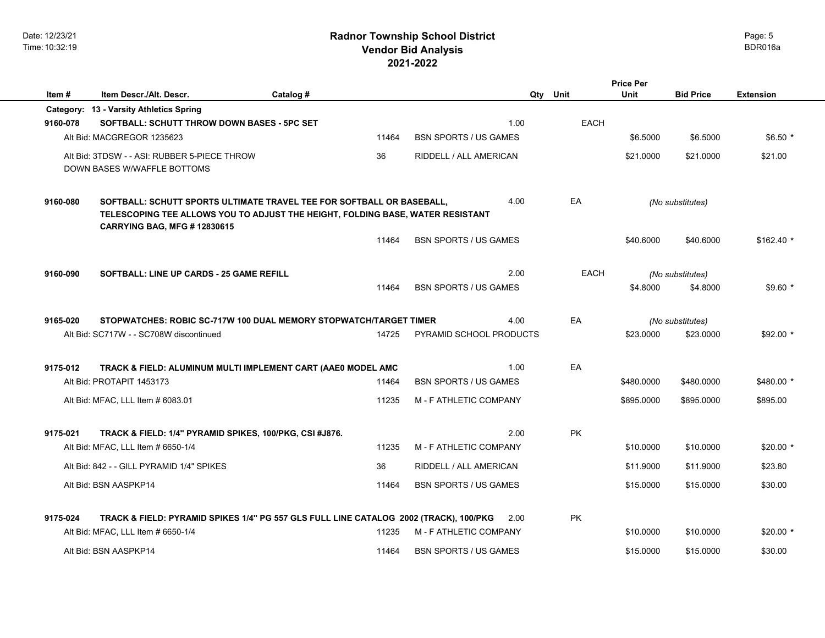|                                                                                                                                                                                                                   |                                                                                           |           |       |                                      |     |             | <b>Price Per</b> |                               |                  |
|-------------------------------------------------------------------------------------------------------------------------------------------------------------------------------------------------------------------|-------------------------------------------------------------------------------------------|-----------|-------|--------------------------------------|-----|-------------|------------------|-------------------------------|------------------|
| Item#                                                                                                                                                                                                             | Item Descr./Alt. Descr.                                                                   | Catalog # |       |                                      | Qty | Unit        | Unit             | <b>Bid Price</b>              | <b>Extension</b> |
|                                                                                                                                                                                                                   | Category: 13 - Varsity Athletics Spring                                                   |           |       |                                      |     |             |                  |                               |                  |
| 9160-078                                                                                                                                                                                                          | SOFTBALL: SCHUTT THROW DOWN BASES - 5PC SET                                               |           |       | 1.00                                 |     | <b>EACH</b> |                  |                               |                  |
|                                                                                                                                                                                                                   | Alt Bid: MACGREGOR 1235623                                                                |           | 11464 | <b>BSN SPORTS / US GAMES</b>         |     |             | \$6.5000         | \$6.5000                      | $$6.50*$         |
|                                                                                                                                                                                                                   | Alt Bid: 3TDSW - - ASI: RUBBER 5-PIECE THROW<br>DOWN BASES W/WAFFLE BOTTOMS               |           | 36    | RIDDELL / ALL AMERICAN               |     |             | \$21.0000        | \$21.0000                     | \$21.00          |
| SOFTBALL: SCHUTT SPORTS ULTIMATE TRAVEL TEE FOR SOFTBALL OR BASEBALL,<br>4.00<br>9160-080<br>TELESCOPING TEE ALLOWS YOU TO ADJUST THE HEIGHT, FOLDING BASE, WATER RESISTANT<br><b>CARRYING BAG, MFG #12830615</b> |                                                                                           |           |       |                                      | EA  |             | (No substitutes) |                               |                  |
|                                                                                                                                                                                                                   |                                                                                           |           | 11464 | <b>BSN SPORTS / US GAMES</b>         |     |             | \$40.6000        | \$40.6000                     | $$162.40$ *      |
| 9160-090                                                                                                                                                                                                          | SOFTBALL: LINE UP CARDS - 25 GAME REFILL                                                  |           |       | 2.00                                 |     | <b>EACH</b> |                  | (No substitutes)              |                  |
|                                                                                                                                                                                                                   |                                                                                           |           | 11464 | <b>BSN SPORTS / US GAMES</b>         |     |             | \$4.8000         | \$4.8000                      | $$9.60*$         |
|                                                                                                                                                                                                                   |                                                                                           |           |       |                                      |     |             |                  |                               |                  |
| 9165-020                                                                                                                                                                                                          | STOPWATCHES: ROBIC SC-717W 100 DUAL MEMORY STOPWATCH/TARGET TIMER                         |           |       | 4.00                                 |     | EA          |                  |                               |                  |
|                                                                                                                                                                                                                   | Alt Bid: SC717W - - SC708W discontinued                                                   |           | 14725 | PYRAMID SCHOOL PRODUCTS              |     |             | \$23.0000        | (No substitutes)<br>\$23.0000 | $$92.00*$        |
|                                                                                                                                                                                                                   |                                                                                           |           |       |                                      |     |             |                  |                               |                  |
|                                                                                                                                                                                                                   |                                                                                           |           |       |                                      |     |             |                  |                               |                  |
| 9175-012                                                                                                                                                                                                          | TRACK & FIELD: ALUMINUM MULTI IMPLEMENT CART (AAE0 MODEL AMC<br>Alt Bid: PROTAPIT 1453173 |           | 11464 | 1.00<br><b>BSN SPORTS / US GAMES</b> |     | EA          | \$480.0000       | \$480.0000                    | \$480.00 *       |
|                                                                                                                                                                                                                   |                                                                                           |           |       |                                      |     |             |                  |                               |                  |
|                                                                                                                                                                                                                   | Alt Bid: MFAC, LLL Item # 6083.01                                                         |           | 11235 | M - F ATHLETIC COMPANY               |     |             | \$895.0000       | \$895.0000                    | \$895.00         |
|                                                                                                                                                                                                                   |                                                                                           |           |       |                                      |     |             |                  |                               |                  |
| 9175-021                                                                                                                                                                                                          | TRACK & FIELD: 1/4" PYRAMID SPIKES, 100/PKG, CSI #J876.                                   |           |       | 2.00                                 |     | <b>PK</b>   |                  |                               |                  |
|                                                                                                                                                                                                                   | Alt Bid: MFAC, LLL Item # 6650-1/4                                                        |           | 11235 | <b>M-F ATHLETIC COMPANY</b>          |     |             | \$10,0000        | \$10,0000                     | $$20.00*$        |
|                                                                                                                                                                                                                   | Alt Bid: 842 - - GILL PYRAMID 1/4" SPIKES                                                 |           | 36    | RIDDELL / ALL AMERICAN               |     |             | \$11,9000        | \$11.9000                     | \$23.80          |
|                                                                                                                                                                                                                   | Alt Bid: BSN AASPKP14                                                                     |           | 11464 | <b>BSN SPORTS / US GAMES</b>         |     |             | \$15,0000        | \$15,0000                     | \$30.00          |
|                                                                                                                                                                                                                   |                                                                                           |           |       |                                      |     |             |                  |                               |                  |
| 9175-024                                                                                                                                                                                                          | TRACK & FIELD: PYRAMID SPIKES 1/4" PG 557 GLS FULL LINE CATALOG 2002 (TRACK), 100/PKG     |           |       | 2.00                                 |     | <b>PK</b>   |                  |                               |                  |
|                                                                                                                                                                                                                   | Alt Bid: MFAC, LLL Item # 6650-1/4                                                        |           | 11235 | M - F ATHLETIC COMPANY               |     |             | \$10.0000        | \$10.0000                     | $$20.00*$        |
|                                                                                                                                                                                                                   | Alt Bid: BSN AASPKP14                                                                     |           | 11464 | <b>BSN SPORTS / US GAMES</b>         |     |             | \$15,0000        | \$15,0000                     | \$30.00          |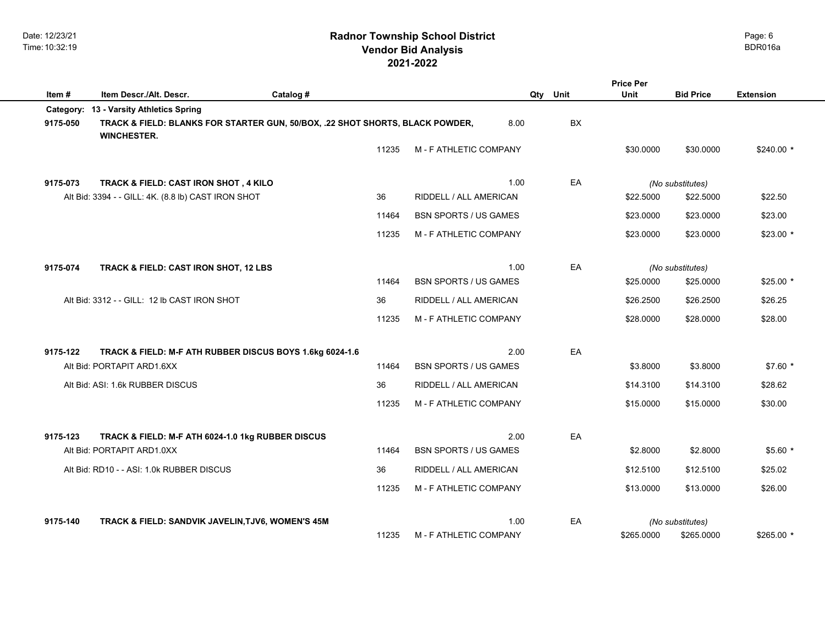|          |                                                                                                     |           |       |                              |           | <b>Price Per</b> |                  |                  |
|----------|-----------------------------------------------------------------------------------------------------|-----------|-------|------------------------------|-----------|------------------|------------------|------------------|
| Item#    | Item Descr./Alt. Descr.                                                                             | Catalog # |       |                              | Qty Unit  | Unit             | <b>Bid Price</b> | <b>Extension</b> |
|          | Category: 13 - Varsity Athletics Spring                                                             |           |       |                              |           |                  |                  |                  |
| 9175-050 | TRACK & FIELD: BLANKS FOR STARTER GUN, 50/BOX, .22 SHOT SHORTS, BLACK POWDER,<br><b>WINCHESTER.</b> |           |       | 8.00                         | <b>BX</b> |                  |                  |                  |
|          |                                                                                                     |           | 11235 | M - F ATHLETIC COMPANY       |           | \$30.0000        | \$30.0000        | $$240.00*$       |
| 9175-073 | TRACK & FIELD: CAST IRON SHOT, 4 KILO                                                               |           |       | 1.00                         | EA        |                  | (No substitutes) |                  |
|          | Alt Bid: 3394 - - GILL: 4K. (8.8 lb) CAST IRON SHOT                                                 |           | 36    | RIDDELL / ALL AMERICAN       |           | \$22.5000        | \$22.5000        | \$22.50          |
|          |                                                                                                     |           | 11464 | <b>BSN SPORTS / US GAMES</b> |           | \$23,0000        | \$23.0000        | \$23.00          |
|          |                                                                                                     |           | 11235 | M - F ATHLETIC COMPANY       |           | \$23.0000        | \$23.0000        | $$23.00*$        |
| 9175-074 | TRACK & FIELD: CAST IRON SHOT, 12 LBS                                                               |           |       | 1.00                         | EA        |                  | (No substitutes) |                  |
|          |                                                                                                     |           | 11464 | <b>BSN SPORTS / US GAMES</b> |           | \$25.0000        | \$25.0000        | $$25.00*$        |
|          | Alt Bid: 3312 - - GILL: 12 lb CAST IRON SHOT                                                        |           | 36    | RIDDELL / ALL AMERICAN       |           | \$26,2500        | \$26.2500        | \$26.25          |
|          |                                                                                                     |           | 11235 | M - F ATHLETIC COMPANY       |           | \$28.0000        | \$28.0000        | \$28.00          |
| 9175-122 | TRACK & FIELD: M-F ATH RUBBER DISCUS BOYS 1.6kg 6024-1.6                                            |           |       | 2.00                         | EA        |                  |                  |                  |
|          | Alt Bid: PORTAPIT ARD1.6XX                                                                          |           | 11464 | <b>BSN SPORTS / US GAMES</b> |           | \$3.8000         | \$3.8000         | $$7.60*$         |
|          | Alt Bid: ASI: 1.6k RUBBER DISCUS                                                                    |           | 36    | RIDDELL / ALL AMERICAN       |           | \$14,3100        | \$14.3100        | \$28.62          |
|          |                                                                                                     |           | 11235 | M - F ATHLETIC COMPANY       |           | \$15,0000        | \$15.0000        | \$30.00          |
| 9175-123 | TRACK & FIELD: M-F ATH 6024-1.0 1kg RUBBER DISCUS                                                   |           |       | 2.00                         | EA        |                  |                  |                  |
|          | Alt Bid: PORTAPIT ARD1.0XX                                                                          |           | 11464 | <b>BSN SPORTS / US GAMES</b> |           | \$2,8000         | \$2.8000         | $$5.60*$         |
|          | Alt Bid: RD10 - - ASI: 1.0k RUBBER DISCUS                                                           |           | 36    | RIDDELL / ALL AMERICAN       |           | \$12.5100        | \$12.5100        | \$25.02          |
|          |                                                                                                     |           | 11235 | M - F ATHLETIC COMPANY       |           | \$13.0000        | \$13.0000        | \$26.00          |
| 9175-140 | TRACK & FIELD: SANDVIK JAVELIN, TJV6, WOMEN'S 45M                                                   |           |       | 1.00                         | EA        |                  | (No substitutes) |                  |
|          |                                                                                                     |           | 11235 | M - F ATHLETIC COMPANY       |           | \$265.0000       | \$265.0000       | $$265.00*$       |